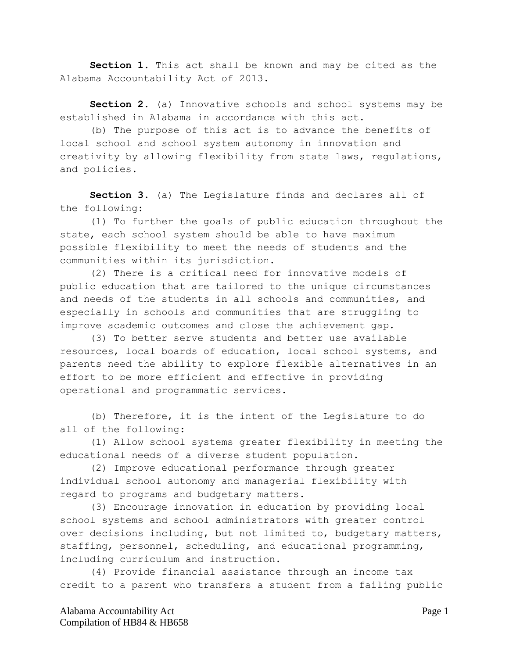**Section 1.** This act shall be known and may be cited as the Alabama Accountability Act of 2013.

**Section 2.** (a) Innovative schools and school systems may be established in Alabama in accordance with this act.

(b) The purpose of this act is to advance the benefits of local school and school system autonomy in innovation and creativity by allowing flexibility from state laws, regulations, and policies.

**Section 3.** (a) The Legislature finds and declares all of the following:

(1) To further the goals of public education throughout the state, each school system should be able to have maximum possible flexibility to meet the needs of students and the communities within its jurisdiction.

(2) There is a critical need for innovative models of public education that are tailored to the unique circumstances and needs of the students in all schools and communities, and especially in schools and communities that are struggling to improve academic outcomes and close the achievement gap.

(3) To better serve students and better use available resources, local boards of education, local school systems, and parents need the ability to explore flexible alternatives in an effort to be more efficient and effective in providing operational and programmatic services.

(b) Therefore, it is the intent of the Legislature to do all of the following:

(1) Allow school systems greater flexibility in meeting the educational needs of a diverse student population.

(2) Improve educational performance through greater individual school autonomy and managerial flexibility with regard to programs and budgetary matters.

(3) Encourage innovation in education by providing local school systems and school administrators with greater control over decisions including, but not limited to, budgetary matters, staffing, personnel, scheduling, and educational programming, including curriculum and instruction.

(4) Provide financial assistance through an income tax credit to a parent who transfers a student from a failing public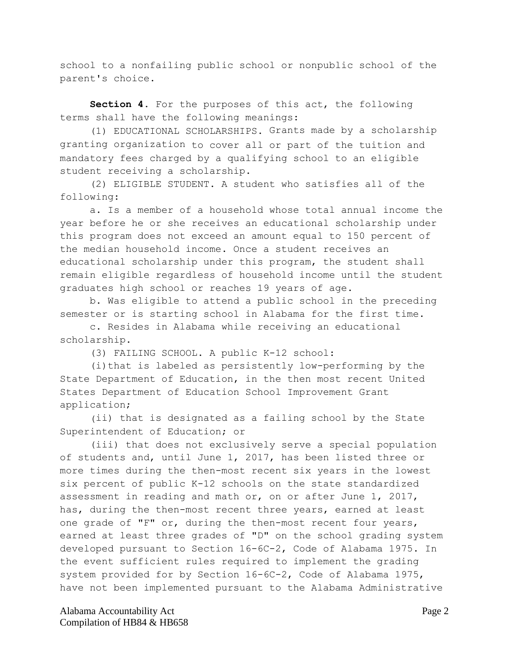school to a nonfailing public school or nonpublic school of the parent's choice.

**Section 4.** For the purposes of this act, the following terms shall have the following meanings:

(1) EDUCATIONAL SCHOLARSHIPS. Grants made by a scholarship granting organization to cover all or part of the tuition and mandatory fees charged by a qualifying school to an eligible student receiving a scholarship.

(2) ELIGIBLE STUDENT. A student who satisfies all of the following:

a. Is a member of a household whose total annual income the year before he or she receives an educational scholarship under this program does not exceed an amount equal to 150 percent of the median household income. Once a student receives an educational scholarship under this program, the student shall remain eligible regardless of household income until the student graduates high school or reaches 19 years of age.

b. Was eligible to attend a public school in the preceding semester or is starting school in Alabama for the first time.

c. Resides in Alabama while receiving an educational scholarship.

(3) FAILING SCHOOL. A public K-12 school:

(i)that is labeled as persistently low-performing by the State Department of Education, in the then most recent United States Department of Education School Improvement Grant application;

(ii) that is designated as a failing school by the State Superintendent of Education; or

(iii) that does not exclusively serve a special population of students and, until June 1, 2017, has been listed three or more times during the then-most recent six years in the lowest six percent of public K-12 schools on the state standardized assessment in reading and math or, on or after June 1, 2017, has, during the then-most recent three years, earned at least one grade of "F" or, during the then-most recent four years, earned at least three grades of "D" on the school grading system developed pursuant to Section 16-6C-2, Code of Alabama 1975. In the event sufficient rules required to implement the grading system provided for by Section 16-6C-2, Code of Alabama 1975, have not been implemented pursuant to the Alabama Administrative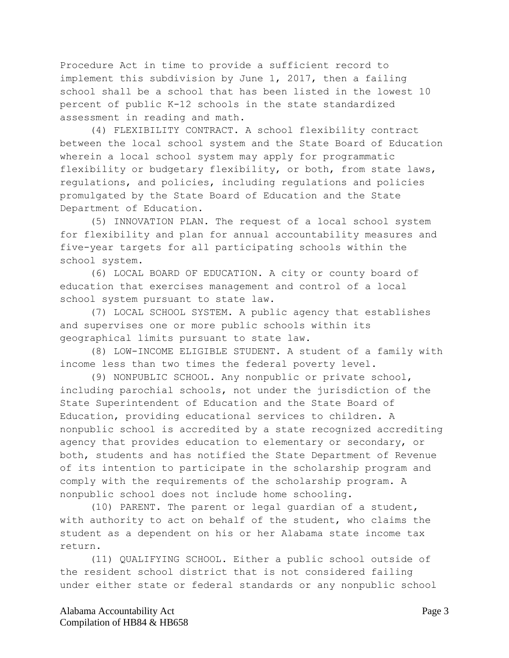Procedure Act in time to provide a sufficient record to implement this subdivision by June 1, 2017, then a failing school shall be a school that has been listed in the lowest 10 percent of public K-12 schools in the state standardized assessment in reading and math.

(4) FLEXIBILITY CONTRACT. A school flexibility contract between the local school system and the State Board of Education wherein a local school system may apply for programmatic flexibility or budgetary flexibility, or both, from state laws, regulations, and policies, including regulations and policies promulgated by the State Board of Education and the State Department of Education.

(5) INNOVATION PLAN. The request of a local school system for flexibility and plan for annual accountability measures and five-year targets for all participating schools within the school system.

(6) LOCAL BOARD OF EDUCATION. A city or county board of education that exercises management and control of a local school system pursuant to state law.

(7) LOCAL SCHOOL SYSTEM. A public agency that establishes and supervises one or more public schools within its geographical limits pursuant to state law.

(8) LOW-INCOME ELIGIBLE STUDENT. A student of a family with income less than two times the federal poverty level.

(9) NONPUBLIC SCHOOL. Any nonpublic or private school, including parochial schools, not under the jurisdiction of the State Superintendent of Education and the State Board of Education, providing educational services to children. A nonpublic school is accredited by a state recognized accrediting agency that provides education to elementary or secondary, or both, students and has notified the State Department of Revenue of its intention to participate in the scholarship program and comply with the requirements of the scholarship program. A nonpublic school does not include home schooling.

(10) PARENT. The parent or legal guardian of a student, with authority to act on behalf of the student, who claims the student as a dependent on his or her Alabama state income tax return.

(11) QUALIFYING SCHOOL. Either a public school outside of the resident school district that is not considered failing under either state or federal standards or any nonpublic school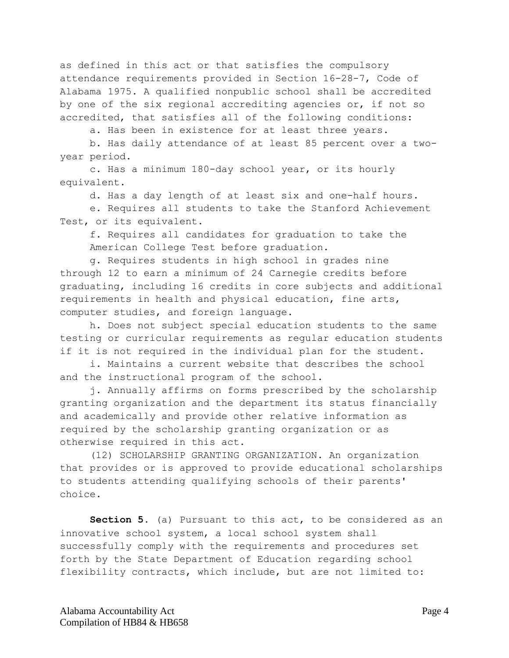as defined in this act or that satisfies the compulsory attendance requirements provided in Section 16-28-7, Code of Alabama 1975. A qualified nonpublic school shall be accredited by one of the six regional accrediting agencies or, if not so accredited, that satisfies all of the following conditions:

a. Has been in existence for at least three years.

b. Has daily attendance of at least 85 percent over a twoyear period.

c. Has a minimum 180-day school year, or its hourly equivalent.

d. Has a day length of at least six and one-half hours.

e. Requires all students to take the Stanford Achievement Test, or its equivalent.

f. Requires all candidates for graduation to take the American College Test before graduation.

g. Requires students in high school in grades nine through 12 to earn a minimum of 24 Carnegie credits before graduating, including 16 credits in core subjects and additional requirements in health and physical education, fine arts, computer studies, and foreign language.

h. Does not subject special education students to the same testing or curricular requirements as regular education students if it is not required in the individual plan for the student.

i. Maintains a current website that describes the school and the instructional program of the school.

j. Annually affirms on forms prescribed by the scholarship granting organization and the department its status financially and academically and provide other relative information as required by the scholarship granting organization or as otherwise required in this act.

(12) SCHOLARSHIP GRANTING ORGANIZATION. An organization that provides or is approved to provide educational scholarships to students attending qualifying schools of their parents' choice.

**Section 5.** (a) Pursuant to this act, to be considered as an innovative school system, a local school system shall successfully comply with the requirements and procedures set forth by the State Department of Education regarding school flexibility contracts, which include, but are not limited to: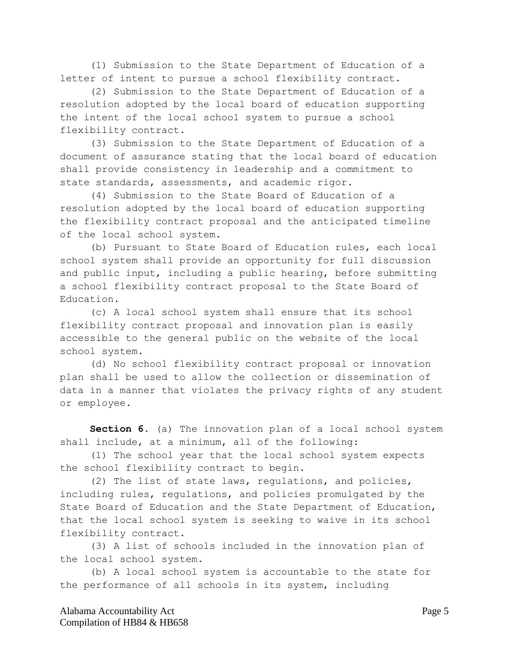(1) Submission to the State Department of Education of a letter of intent to pursue a school flexibility contract.

(2) Submission to the State Department of Education of a resolution adopted by the local board of education supporting the intent of the local school system to pursue a school flexibility contract.

(3) Submission to the State Department of Education of a document of assurance stating that the local board of education shall provide consistency in leadership and a commitment to state standards, assessments, and academic rigor.

(4) Submission to the State Board of Education of a resolution adopted by the local board of education supporting the flexibility contract proposal and the anticipated timeline of the local school system.

(b) Pursuant to State Board of Education rules, each local school system shall provide an opportunity for full discussion and public input, including a public hearing, before submitting a school flexibility contract proposal to the State Board of Education.

(c) A local school system shall ensure that its school flexibility contract proposal and innovation plan is easily accessible to the general public on the website of the local school system.

(d) No school flexibility contract proposal or innovation plan shall be used to allow the collection or dissemination of data in a manner that violates the privacy rights of any student or employee.

**Section 6.** (a) The innovation plan of a local school system shall include, at a minimum, all of the following:

(1) The school year that the local school system expects the school flexibility contract to begin.

(2) The list of state laws, regulations, and policies, including rules, regulations, and policies promulgated by the State Board of Education and the State Department of Education, that the local school system is seeking to waive in its school flexibility contract.

(3) A list of schools included in the innovation plan of the local school system.

(b) A local school system is accountable to the state for the performance of all schools in its system, including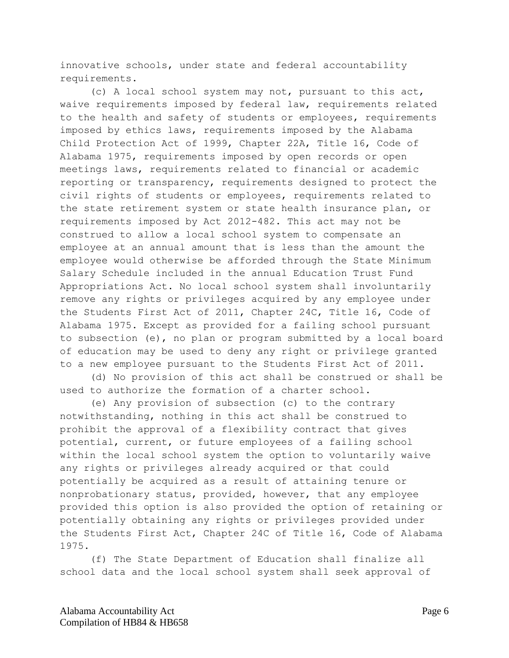innovative schools, under state and federal accountability requirements.

(c) A local school system may not, pursuant to this act, waive requirements imposed by federal law, requirements related to the health and safety of students or employees, requirements imposed by ethics laws, requirements imposed by the Alabama Child Protection Act of 1999, Chapter 22A, Title 16, Code of Alabama 1975, requirements imposed by open records or open meetings laws, requirements related to financial or academic reporting or transparency, requirements designed to protect the civil rights of students or employees, requirements related to the state retirement system or state health insurance plan, or requirements imposed by Act 2012-482. This act may not be construed to allow a local school system to compensate an employee at an annual amount that is less than the amount the employee would otherwise be afforded through the State Minimum Salary Schedule included in the annual Education Trust Fund Appropriations Act. No local school system shall involuntarily remove any rights or privileges acquired by any employee under the Students First Act of 2011, Chapter 24C, Title 16, Code of Alabama 1975. Except as provided for a failing school pursuant to subsection (e), no plan or program submitted by a local board of education may be used to deny any right or privilege granted to a new employee pursuant to the Students First Act of 2011.

(d) No provision of this act shall be construed or shall be used to authorize the formation of a charter school.

(e) Any provision of subsection (c) to the contrary notwithstanding, nothing in this act shall be construed to prohibit the approval of a flexibility contract that gives potential, current, or future employees of a failing school within the local school system the option to voluntarily waive any rights or privileges already acquired or that could potentially be acquired as a result of attaining tenure or nonprobationary status, provided, however, that any employee provided this option is also provided the option of retaining or potentially obtaining any rights or privileges provided under the Students First Act, Chapter 24C of Title 16, Code of Alabama 1975.

(f) The State Department of Education shall finalize all school data and the local school system shall seek approval of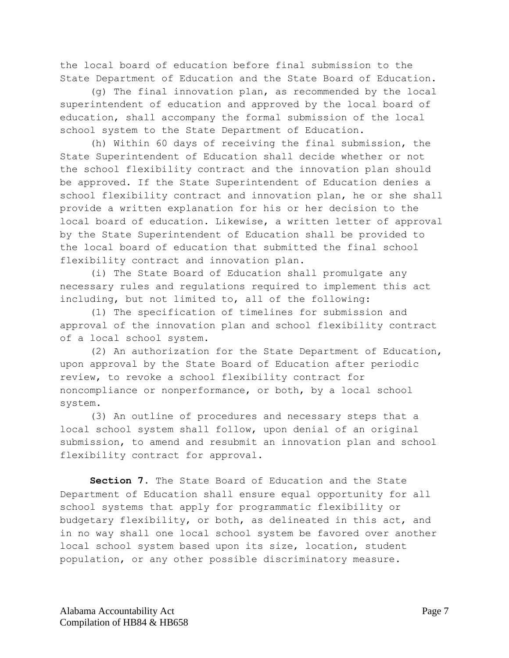the local board of education before final submission to the State Department of Education and the State Board of Education.

(g) The final innovation plan, as recommended by the local superintendent of education and approved by the local board of education, shall accompany the formal submission of the local school system to the State Department of Education.

(h) Within 60 days of receiving the final submission, the State Superintendent of Education shall decide whether or not the school flexibility contract and the innovation plan should be approved. If the State Superintendent of Education denies a school flexibility contract and innovation plan, he or she shall provide a written explanation for his or her decision to the local board of education. Likewise, a written letter of approval by the State Superintendent of Education shall be provided to the local board of education that submitted the final school flexibility contract and innovation plan.

(i) The State Board of Education shall promulgate any necessary rules and regulations required to implement this act including, but not limited to, all of the following:

(1) The specification of timelines for submission and approval of the innovation plan and school flexibility contract of a local school system.

(2) An authorization for the State Department of Education, upon approval by the State Board of Education after periodic review, to revoke a school flexibility contract for noncompliance or nonperformance, or both, by a local school system.

(3) An outline of procedures and necessary steps that a local school system shall follow, upon denial of an original submission, to amend and resubmit an innovation plan and school flexibility contract for approval.

**Section 7.** The State Board of Education and the State Department of Education shall ensure equal opportunity for all school systems that apply for programmatic flexibility or budgetary flexibility, or both, as delineated in this act, and in no way shall one local school system be favored over another local school system based upon its size, location, student population, or any other possible discriminatory measure.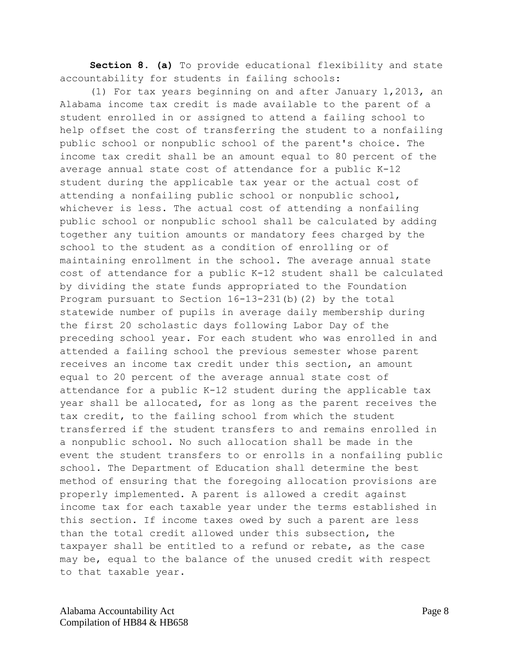**Section 8. (a)** To provide educational flexibility and state accountability for students in failing schools:

(1) For tax years beginning on and after January 1,2013, an Alabama income tax credit is made available to the parent of a student enrolled in or assigned to attend a failing school to help offset the cost of transferring the student to a nonfailing public school or nonpublic school of the parent's choice. The income tax credit shall be an amount equal to 80 percent of the average annual state cost of attendance for a public K-12 student during the applicable tax year or the actual cost of attending a nonfailing public school or nonpublic school, whichever is less. The actual cost of attending a nonfailing public school or nonpublic school shall be calculated by adding together any tuition amounts or mandatory fees charged by the school to the student as a condition of enrolling or of maintaining enrollment in the school. The average annual state cost of attendance for a public K-12 student shall be calculated by dividing the state funds appropriated to the Foundation Program pursuant to Section 16-13-231(b)(2) by the total statewide number of pupils in average daily membership during the first 20 scholastic days following Labor Day of the preceding school year. For each student who was enrolled in and attended a failing school the previous semester whose parent receives an income tax credit under this section, an amount equal to 20 percent of the average annual state cost of attendance for a public K-12 student during the applicable tax year shall be allocated, for as long as the parent receives the tax credit, to the failing school from which the student transferred if the student transfers to and remains enrolled in a nonpublic school. No such allocation shall be made in the event the student transfers to or enrolls in a nonfailing public school. The Department of Education shall determine the best method of ensuring that the foregoing allocation provisions are properly implemented. A parent is allowed a credit against income tax for each taxable year under the terms established in this section. If income taxes owed by such a parent are less than the total credit allowed under this subsection, the taxpayer shall be entitled to a refund or rebate, as the case may be, equal to the balance of the unused credit with respect to that taxable year.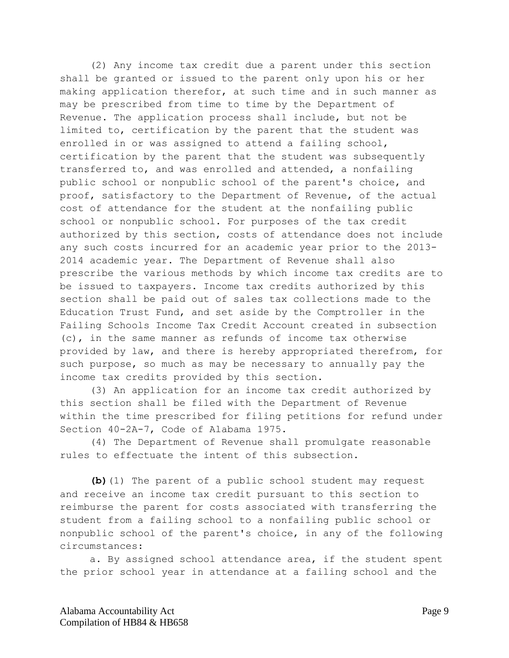(2) Any income tax credit due a parent under this section shall be granted or issued to the parent only upon his or her making application therefor, at such time and in such manner as may be prescribed from time to time by the Department of Revenue. The application process shall include, but not be limited to, certification by the parent that the student was enrolled in or was assigned to attend a failing school, certification by the parent that the student was subsequently transferred to, and was enrolled and attended, a nonfailing public school or nonpublic school of the parent's choice, and proof, satisfactory to the Department of Revenue, of the actual cost of attendance for the student at the nonfailing public school or nonpublic school. For purposes of the tax credit authorized by this section, costs of attendance does not include any such costs incurred for an academic year prior to the 2013- 2014 academic year. The Department of Revenue shall also prescribe the various methods by which income tax credits are to be issued to taxpayers. Income tax credits authorized by this section shall be paid out of sales tax collections made to the Education Trust Fund, and set aside by the Comptroller in the Failing Schools Income Tax Credit Account created in subsection (c), in the same manner as refunds of income tax otherwise provided by law, and there is hereby appropriated therefrom, for such purpose, so much as may be necessary to annually pay the income tax credits provided by this section.

(3) An application for an income tax credit authorized by this section shall be filed with the Department of Revenue within the time prescribed for filing petitions for refund under Section 40-2A-7, Code of Alabama 1975.

(4) The Department of Revenue shall promulgate reasonable rules to effectuate the intent of this subsection.

**(b)**(1) The parent of a public school student may request and receive an income tax credit pursuant to this section to reimburse the parent for costs associated with transferring the student from a failing school to a nonfailing public school or nonpublic school of the parent's choice, in any of the following circumstances:

a. By assigned school attendance area, if the student spent the prior school year in attendance at a failing school and the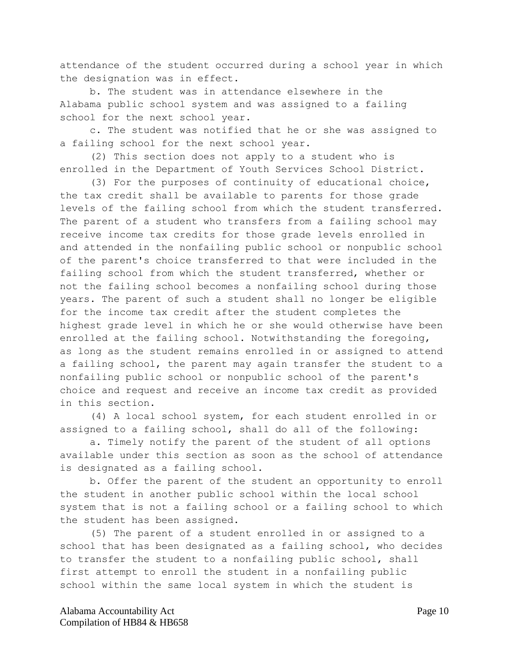attendance of the student occurred during a school year in which the designation was in effect.

b. The student was in attendance elsewhere in the Alabama public school system and was assigned to a failing school for the next school year.

c. The student was notified that he or she was assigned to a failing school for the next school year.

(2) This section does not apply to a student who is enrolled in the Department of Youth Services School District.

(3) For the purposes of continuity of educational choice, the tax credit shall be available to parents for those grade levels of the failing school from which the student transferred. The parent of a student who transfers from a failing school may receive income tax credits for those grade levels enrolled in and attended in the nonfailing public school or nonpublic school of the parent's choice transferred to that were included in the failing school from which the student transferred, whether or not the failing school becomes a nonfailing school during those years. The parent of such a student shall no longer be eligible for the income tax credit after the student completes the highest grade level in which he or she would otherwise have been enrolled at the failing school. Notwithstanding the foregoing, as long as the student remains enrolled in or assigned to attend a failing school, the parent may again transfer the student to a nonfailing public school or nonpublic school of the parent's choice and request and receive an income tax credit as provided in this section.

(4) A local school system, for each student enrolled in or assigned to a failing school, shall do all of the following:

a. Timely notify the parent of the student of all options available under this section as soon as the school of attendance is designated as a failing school.

b. Offer the parent of the student an opportunity to enroll the student in another public school within the local school system that is not a failing school or a failing school to which the student has been assigned.

(5) The parent of a student enrolled in or assigned to a school that has been designated as a failing school, who decides to transfer the student to a nonfailing public school, shall first attempt to enroll the student in a nonfailing public school within the same local system in which the student is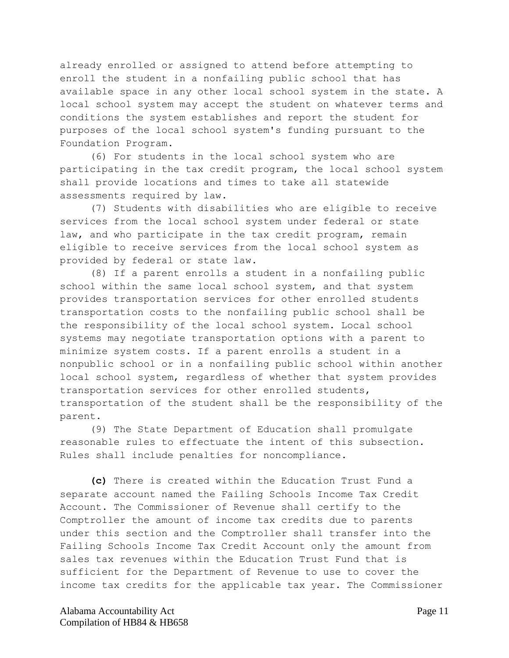already enrolled or assigned to attend before attempting to enroll the student in a nonfailing public school that has available space in any other local school system in the state. A local school system may accept the student on whatever terms and conditions the system establishes and report the student for purposes of the local school system's funding pursuant to the Foundation Program.

(6) For students in the local school system who are participating in the tax credit program, the local school system shall provide locations and times to take all statewide assessments required by law.

(7) Students with disabilities who are eligible to receive services from the local school system under federal or state law, and who participate in the tax credit program, remain eligible to receive services from the local school system as provided by federal or state law.

(8) If a parent enrolls a student in a nonfailing public school within the same local school system, and that system provides transportation services for other enrolled students transportation costs to the nonfailing public school shall be the responsibility of the local school system. Local school systems may negotiate transportation options with a parent to minimize system costs. If a parent enrolls a student in a nonpublic school or in a nonfailing public school within another local school system, regardless of whether that system provides transportation services for other enrolled students, transportation of the student shall be the responsibility of the parent.

(9) The State Department of Education shall promulgate reasonable rules to effectuate the intent of this subsection. Rules shall include penalties for noncompliance.

**(c)** There is created within the Education Trust Fund a separate account named the Failing Schools Income Tax Credit Account. The Commissioner of Revenue shall certify to the Comptroller the amount of income tax credits due to parents under this section and the Comptroller shall transfer into the Failing Schools Income Tax Credit Account only the amount from sales tax revenues within the Education Trust Fund that is sufficient for the Department of Revenue to use to cover the income tax credits for the applicable tax year. The Commissioner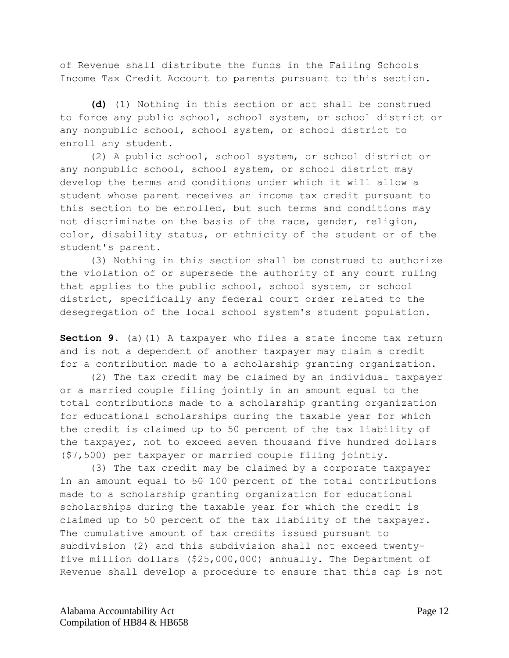of Revenue shall distribute the funds in the Failing Schools Income Tax Credit Account to parents pursuant to this section.

**(d)** (1) Nothing in this section or act shall be construed to force any public school, school system, or school district or any nonpublic school, school system, or school district to enroll any student.

(2) A public school, school system, or school district or any nonpublic school, school system, or school district may develop the terms and conditions under which it will allow a student whose parent receives an income tax credit pursuant to this section to be enrolled, but such terms and conditions may not discriminate on the basis of the race, gender, religion, color, disability status, or ethnicity of the student or of the student's parent.

(3) Nothing in this section shall be construed to authorize the violation of or supersede the authority of any court ruling that applies to the public school, school system, or school district, specifically any federal court order related to the desegregation of the local school system's student population.

**Section 9.** (a)(1) A taxpayer who files a state income tax return and is not a dependent of another taxpayer may claim a credit for a contribution made to a scholarship granting organization.

(2) The tax credit may be claimed by an individual taxpayer or a married couple filing jointly in an amount equal to the total contributions made to a scholarship granting organization for educational scholarships during the taxable year for which the credit is claimed up to 50 percent of the tax liability of the taxpayer, not to exceed seven thousand five hundred dollars (\$7,500) per taxpayer or married couple filing jointly.

(3) The tax credit may be claimed by a corporate taxpayer in an amount equal to  $50$  100 percent of the total contributions made to a scholarship granting organization for educational scholarships during the taxable year for which the credit is claimed up to 50 percent of the tax liability of the taxpayer. The cumulative amount of tax credits issued pursuant to subdivision (2) and this subdivision shall not exceed twentyfive million dollars (\$25,000,000) annually. The Department of Revenue shall develop a procedure to ensure that this cap is not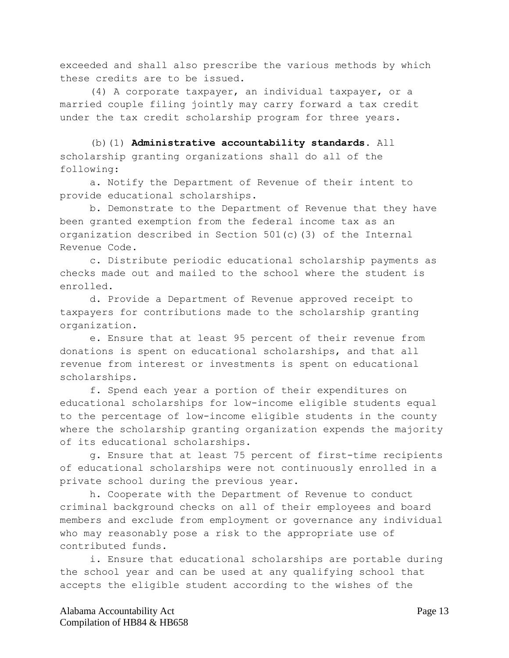exceeded and shall also prescribe the various methods by which these credits are to be issued.

(4) A corporate taxpayer, an individual taxpayer, or a married couple filing jointly may carry forward a tax credit under the tax credit scholarship program for three years.

(b)(1) **Administrative accountability standards.** All scholarship granting organizations shall do all of the following:

a. Notify the Department of Revenue of their intent to provide educational scholarships.

b. Demonstrate to the Department of Revenue that they have been granted exemption from the federal income tax as an organization described in Section 501(c)(3) of the Internal Revenue Code.

c. Distribute periodic educational scholarship payments as checks made out and mailed to the school where the student is enrolled.

d. Provide a Department of Revenue approved receipt to taxpayers for contributions made to the scholarship granting organization.

e. Ensure that at least 95 percent of their revenue from donations is spent on educational scholarships, and that all revenue from interest or investments is spent on educational scholarships.

f. Spend each year a portion of their expenditures on educational scholarships for low-income eligible students equal to the percentage of low-income eligible students in the county where the scholarship granting organization expends the majority of its educational scholarships.

g. Ensure that at least 75 percent of first-time recipients of educational scholarships were not continuously enrolled in a private school during the previous year.

h. Cooperate with the Department of Revenue to conduct criminal background checks on all of their employees and board members and exclude from employment or governance any individual who may reasonably pose a risk to the appropriate use of contributed funds.

i. Ensure that educational scholarships are portable during the school year and can be used at any qualifying school that accepts the eligible student according to the wishes of the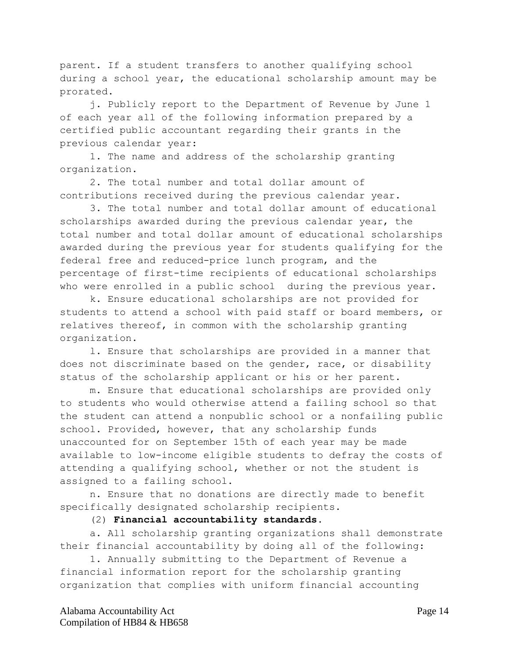parent. If a student transfers to another qualifying school during a school year, the educational scholarship amount may be prorated.

j. Publicly report to the Department of Revenue by June 1 of each year all of the following information prepared by a certified public accountant regarding their grants in the previous calendar year:

1. The name and address of the scholarship granting organization.

2. The total number and total dollar amount of contributions received during the previous calendar year.

3. The total number and total dollar amount of educational scholarships awarded during the previous calendar year, the total number and total dollar amount of educational scholarships awarded during the previous year for students qualifying for the federal free and reduced-price lunch program, and the percentage of first-time recipients of educational scholarships who were enrolled in a public school during the previous year.

k. Ensure educational scholarships are not provided for students to attend a school with paid staff or board members, or relatives thereof, in common with the scholarship granting organization.

l. Ensure that scholarships are provided in a manner that does not discriminate based on the gender, race, or disability status of the scholarship applicant or his or her parent.

m. Ensure that educational scholarships are provided only to students who would otherwise attend a failing school so that the student can attend a nonpublic school or a nonfailing public school. Provided, however, that any scholarship funds unaccounted for on September 15th of each year may be made available to low-income eligible students to defray the costs of attending a qualifying school, whether or not the student is assigned to a failing school.

n. Ensure that no donations are directly made to benefit specifically designated scholarship recipients.

## (2) **Financial accountability standards.**

a. All scholarship granting organizations shall demonstrate their financial accountability by doing all of the following:

1. Annually submitting to the Department of Revenue a financial information report for the scholarship granting organization that complies with uniform financial accounting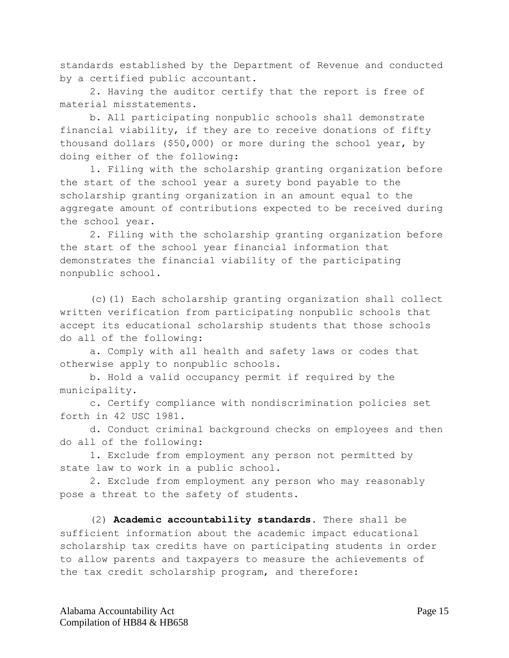standards established by the Department of Revenue and conducted by a certified public accountant.

2. Having the auditor certify that the report is free of material misstatements.

b. All participating nonpublic schools shall demonstrate financial viability, if they are to receive donations of fifty thousand dollars (\$50,000) or more during the school year, by doing either of the following:

1. Filing with the scholarship granting organization before the start of the school year a surety bond payable to the scholarship granting organization in an amount equal to the aggregate amount of contributions expected to be received during the school year.

2. Filing with the scholarship granting organization before the start of the school year financial information that demonstrates the financial viability of the participating nonpublic school.

(c)(1) Each scholarship granting organization shall collect written verification from participating nonpublic schools that accept its educational scholarship students that those schools do all of the following:

a. Comply with all health and safety laws or codes that otherwise apply to nonpublic schools.

b. Hold a valid occupancy permit if required by the municipality.

c. Certify compliance with nondiscrimination policies set forth in 42 USC 1981.

d. Conduct criminal background checks on employees and then do all of the following:

1. Exclude from employment any person not permitted by state law to work in a public school.

2. Exclude from employment any person who may reasonably pose a threat to the safety of students.

(2) **Academic accountability standards.** There shall be sufficient information about the academic impact educational scholarship tax credits have on participating students in order to allow parents and taxpayers to measure the achievements of the tax credit scholarship program, and therefore: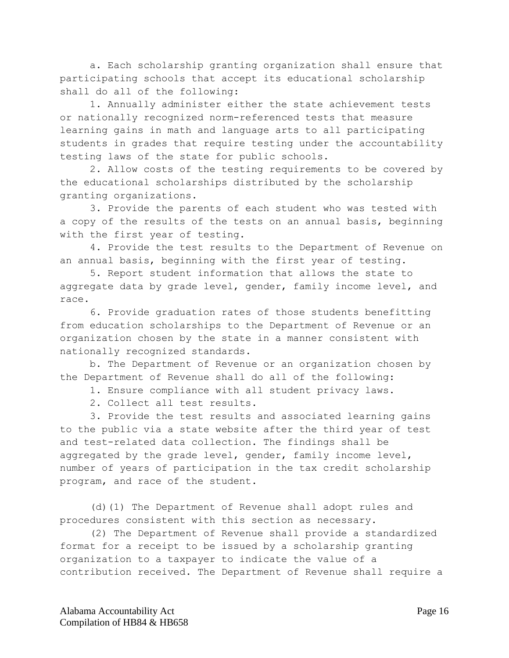a. Each scholarship granting organization shall ensure that participating schools that accept its educational scholarship shall do all of the following:

1. Annually administer either the state achievement tests or nationally recognized norm-referenced tests that measure learning gains in math and language arts to all participating students in grades that require testing under the accountability testing laws of the state for public schools.

2. Allow costs of the testing requirements to be covered by the educational scholarships distributed by the scholarship granting organizations.

3. Provide the parents of each student who was tested with a copy of the results of the tests on an annual basis, beginning with the first year of testing.

4. Provide the test results to the Department of Revenue on an annual basis, beginning with the first year of testing.

5. Report student information that allows the state to aggregate data by grade level, gender, family income level, and race.

6. Provide graduation rates of those students benefitting from education scholarships to the Department of Revenue or an organization chosen by the state in a manner consistent with nationally recognized standards.

b. The Department of Revenue or an organization chosen by the Department of Revenue shall do all of the following:

1. Ensure compliance with all student privacy laws.

2. Collect all test results.

3. Provide the test results and associated learning gains to the public via a state website after the third year of test and test-related data collection. The findings shall be aggregated by the grade level, gender, family income level, number of years of participation in the tax credit scholarship program, and race of the student.

(d)(1) The Department of Revenue shall adopt rules and procedures consistent with this section as necessary.

(2) The Department of Revenue shall provide a standardized format for a receipt to be issued by a scholarship granting organization to a taxpayer to indicate the value of a contribution received. The Department of Revenue shall require a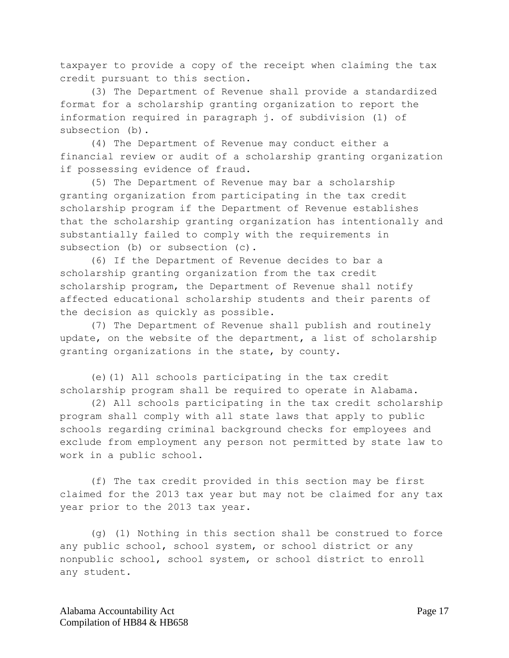taxpayer to provide a copy of the receipt when claiming the tax credit pursuant to this section.

(3) The Department of Revenue shall provide a standardized format for a scholarship granting organization to report the information required in paragraph j. of subdivision (1) of subsection (b).

(4) The Department of Revenue may conduct either a financial review or audit of a scholarship granting organization if possessing evidence of fraud.

(5) The Department of Revenue may bar a scholarship granting organization from participating in the tax credit scholarship program if the Department of Revenue establishes that the scholarship granting organization has intentionally and substantially failed to comply with the requirements in subsection (b) or subsection (c).

(6) If the Department of Revenue decides to bar a scholarship granting organization from the tax credit scholarship program, the Department of Revenue shall notify affected educational scholarship students and their parents of the decision as quickly as possible.

(7) The Department of Revenue shall publish and routinely update, on the website of the department, a list of scholarship granting organizations in the state, by county.

(e)(1) All schools participating in the tax credit scholarship program shall be required to operate in Alabama.

(2) All schools participating in the tax credit scholarship program shall comply with all state laws that apply to public schools regarding criminal background checks for employees and exclude from employment any person not permitted by state law to work in a public school.

(f) The tax credit provided in this section may be first claimed for the 2013 tax year but may not be claimed for any tax year prior to the 2013 tax year.

(g) (1) Nothing in this section shall be construed to force any public school, school system, or school district or any nonpublic school, school system, or school district to enroll any student.